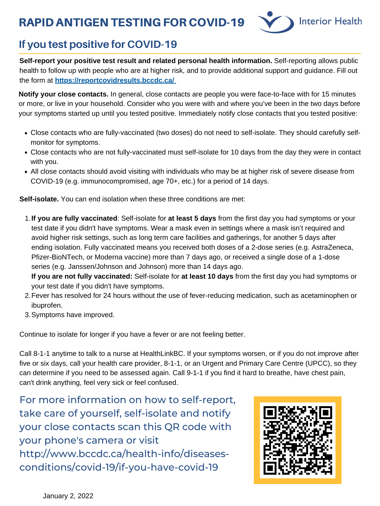**If you are fully vaccinated**: Self-isolate for **at least 5 days** from the first day you had symptoms or your 1. test date if you didn't have symptoms. Wear a mask even in settings where a mask isn't required and avoid higher risk settings, such as long term care facilities and gatherings, for another 5 days after ending isolation. Fully vaccinated means you received both doses of a 2-dose series (e.g. AstraZeneca, Pfizer-BioNTech, or Moderna vaccine) more than 7 days ago, or received a single dose of a 1-dose

series (e.g. Janssen/Johnson and Johnson) more than 14 days ago.

- 2. Fever has resolved for 24 hours without the use of fever-reducing medication, such as acetaminophen or ibuprofen.
- Symptoms have improved. 3.

**If you are not fully vaccinated:** Self-isolate for **at least 10 days** from the first day you had symptoms or your test date if you didn't have symptoms.

**Self-isolate.** You can end isolation when these three conditions are met:

Continue to isolate for longer if you have a fever or are not feeling better.

Call 8-1-1 anytime to talk to a nurse at HealthLinkBC. If your symptoms worsen, or if you do not improve after five or six days, call your health care provider, 8-1-1, or an Urgent and Primary Care Centre (UPCC), so they can determine if you need to be assessed again. Call 9-1-1 if you find it hard to breathe, have chest pain, can't drink anything, feel very sick or feel confused.

# RAPID ANTIGEN TESTING FOR COVID-19



- Close contacts who are fully-vaccinated (two doses) do not need to self-isolate. They should carefully selfmonitor for symptoms.
- Close contacts who are not fully-vaccinated must self-isolate for 10 days from the day they were in contact with you.
- All close contacts should avoid visiting with individuals who may be at higher risk of severe disease from COVID-19 (e.g. immunocompromised, age 70+, etc.) for a period of 14 days.

**Notify your close contacts.** In general, close contacts are people you were face-to-face with for 15 minutes or more, or live in your household. Consider who you were with and where you've been in the two days before your symptoms started up until you tested positive. Immediately notify close contacts that you tested positive:

**Self-report your positive test result and related personal health information.** Self-reporting allows public health to follow up with people who are at higher risk, and to provide additional support and guidance. Fill out the form at **<https://reportcovidresults.bccdc.ca/>**

### **If you test positive for COVID-19**

For more information on how to self-report, take care of yourself, self-isolate and notify your close contacts scan this QR code with your phone's camera or visit http://www.bccdc.ca/health-info/diseasesconditions/covid-19/if-you-have-covid-19